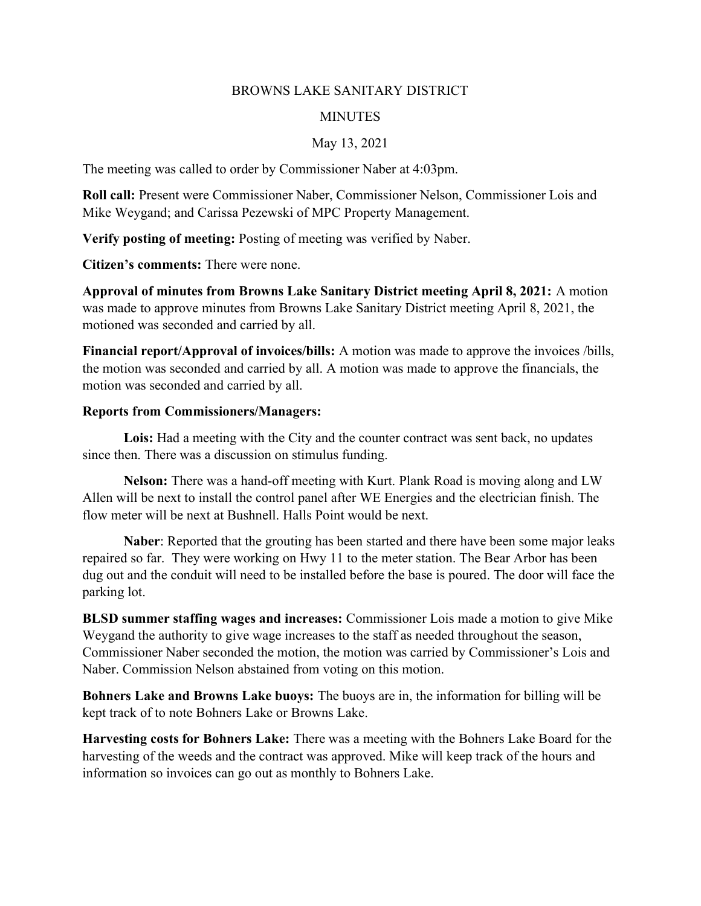## BROWNS LAKE SANITARY DISTRICT

## **MINUTES**

## May 13, 2021

The meeting was called to order by Commissioner Naber at 4:03pm.

Roll call: Present were Commissioner Naber, Commissioner Nelson, Commissioner Lois and Mike Weygand; and Carissa Pezewski of MPC Property Management.

Verify posting of meeting: Posting of meeting was verified by Naber.

Citizen's comments: There were none.

Approval of minutes from Browns Lake Sanitary District meeting April 8, 2021: A motion was made to approve minutes from Browns Lake Sanitary District meeting April 8, 2021, the motioned was seconded and carried by all.

Financial report/Approval of invoices/bills: A motion was made to approve the invoices /bills, the motion was seconded and carried by all. A motion was made to approve the financials, the motion was seconded and carried by all.

## Reports from Commissioners/Managers:

Lois: Had a meeting with the City and the counter contract was sent back, no updates since then. There was a discussion on stimulus funding.

Nelson: There was a hand-off meeting with Kurt. Plank Road is moving along and LW Allen will be next to install the control panel after WE Energies and the electrician finish. The flow meter will be next at Bushnell. Halls Point would be next.

Naber: Reported that the grouting has been started and there have been some major leaks repaired so far. They were working on Hwy 11 to the meter station. The Bear Arbor has been dug out and the conduit will need to be installed before the base is poured. The door will face the parking lot.

BLSD summer staffing wages and increases: Commissioner Lois made a motion to give Mike Weygand the authority to give wage increases to the staff as needed throughout the season, Commissioner Naber seconded the motion, the motion was carried by Commissioner's Lois and Naber. Commission Nelson abstained from voting on this motion.

Bohners Lake and Browns Lake buoys: The buoys are in, the information for billing will be kept track of to note Bohners Lake or Browns Lake.

Harvesting costs for Bohners Lake: There was a meeting with the Bohners Lake Board for the harvesting of the weeds and the contract was approved. Mike will keep track of the hours and information so invoices can go out as monthly to Bohners Lake.